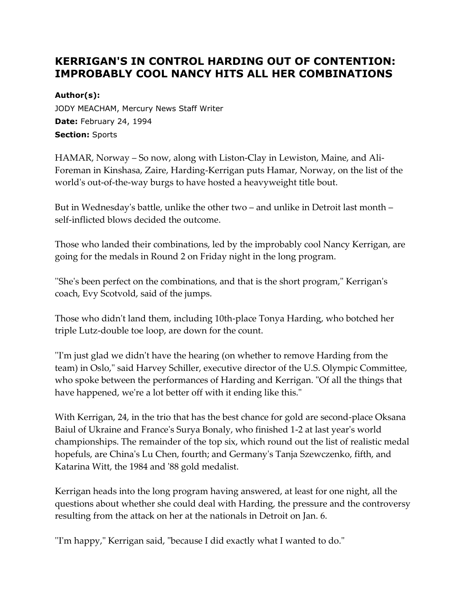# **KERRIGAN'S IN CONTROL HARDING OUT OF CONTENTION: IMPROBABLY COOL NANCY HITS ALL HER COMBINATIONS**

### **Author(s):**

JODY MEACHAM, Mercury News Staff Writer **Date:** February 24, 1994 **Section:** Sports

HAMAR, Norway – So now, along with Liston-Clay in Lewiston, Maine, and Ali-Foreman in Kinshasa, Zaire, Harding-Kerrigan puts Hamar, Norway, on the list of the world's out-of-the-way burgs to have hosted a heavyweight title bout.

But in Wednesday's battle, unlike the other two – and unlike in Detroit last month – self-inflicted blows decided the outcome.

Those who landed their combinations, led by the improbably cool Nancy Kerrigan, are going for the medals in Round 2 on Friday night in the long program.

''She's been perfect on the combinations, and that is the short program," Kerrigan's coach, Evy Scotvold, said of the jumps.

Those who didn't land them, including 10th-place Tonya Harding, who botched her triple Lutz-double toe loop, are down for the count.

''I'm just glad we didn't have the hearing (on whether to remove Harding from the team) in Oslo," said Harvey Schiller, executive director of the U.S. Olympic Committee, who spoke between the performances of Harding and Kerrigan. "Of all the things that have happened, we're a lot better off with it ending like this."

With Kerrigan, 24, in the trio that has the best chance for gold are second-place Oksana Baiul of Ukraine and France's Surya Bonaly, who finished 1-2 at last year's world championships. The remainder of the top six, which round out the list of realistic medal hopefuls, are China's Lu Chen, fourth; and Germany's Tanja Szewczenko, fifth, and Katarina Witt, the 1984 and '88 gold medalist.

Kerrigan heads into the long program having answered, at least for one night, all the questions about whether she could deal with Harding, the pressure and the controversy resulting from the attack on her at the nationals in Detroit on Jan. 6.

''I'm happy," Kerrigan said, "because I did exactly what I wanted to do."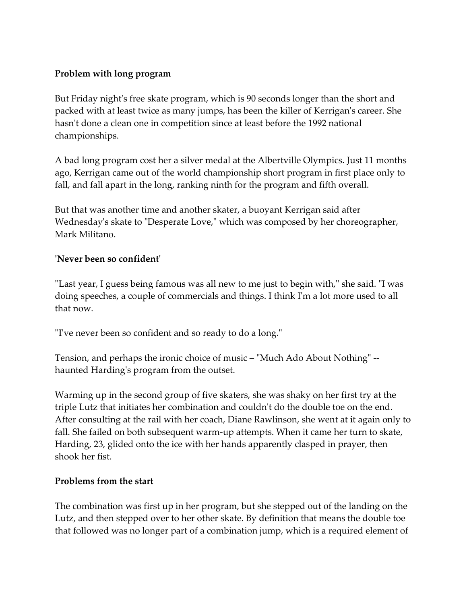## **Problem with long program**

But Friday night's free skate program, which is 90 seconds longer than the short and packed with at least twice as many jumps, has been the killer of Kerrigan's career. She hasn't done a clean one in competition since at least before the 1992 national championships.

A bad long program cost her a silver medal at the Albertville Olympics. Just 11 months ago, Kerrigan came out of the world championship short program in first place only to fall, and fall apart in the long, ranking ninth for the program and fifth overall.

But that was another time and another skater, a buoyant Kerrigan said after Wednesday's skate to "Desperate Love," which was composed by her choreographer, Mark Militano.

### **'Never been so confident'**

''Last year, I guess being famous was all new to me just to begin with," she said. "I was doing speeches, a couple of commercials and things. I think I'm a lot more used to all that now.

''I've never been so confident and so ready to do a long."

Tension, and perhaps the ironic choice of music – "Much Ado About Nothing" - haunted Harding's program from the outset.

Warming up in the second group of five skaters, she was shaky on her first try at the triple Lutz that initiates her combination and couldn't do the double toe on the end. After consulting at the rail with her coach, Diane Rawlinson, she went at it again only to fall. She failed on both subsequent warm-up attempts. When it came her turn to skate, Harding, 23, glided onto the ice with her hands apparently clasped in prayer, then shook her fist.

### **Problems from the start**

The combination was first up in her program, but she stepped out of the landing on the Lutz, and then stepped over to her other skate. By definition that means the double toe that followed was no longer part of a combination jump, which is a required element of